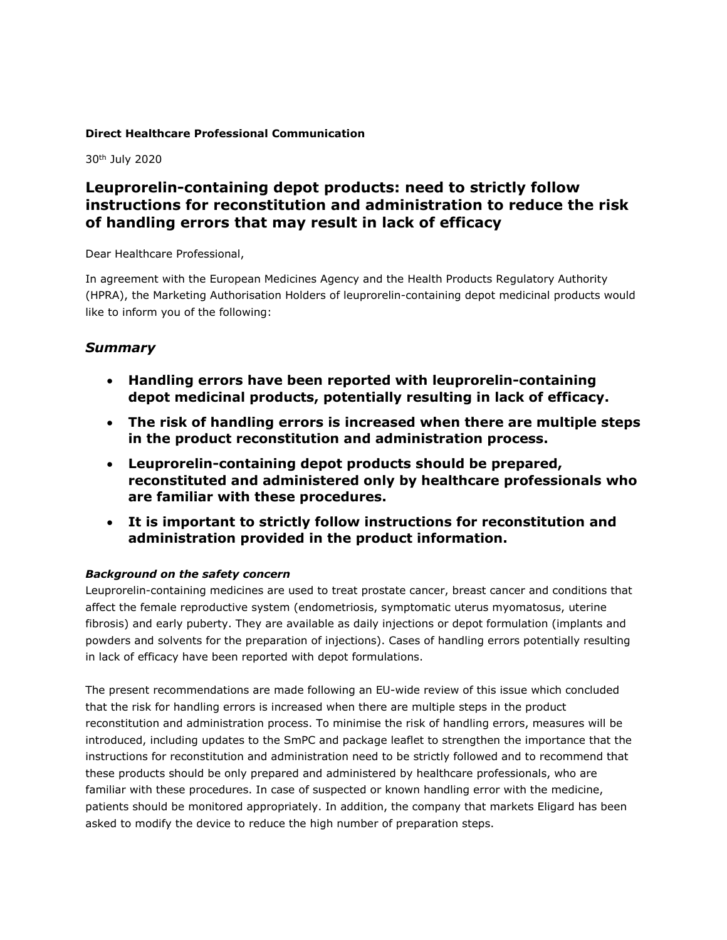## **Direct Healthcare Professional Communication**

30th July 2020

# **Leuprorelin-containing depot products: need to strictly follow instructions for reconstitution and administration to reduce the risk of handling errors that may result in lack of efficacy**

Dear Healthcare Professional,

In agreement with the European Medicines Agency and the Health Products Regulatory Authority (HPRA), the Marketing Authorisation Holders of leuprorelin-containing depot medicinal products would like to inform you of the following:

# *Summary*

- **Handling errors have been reported with leuprorelin-containing depot medicinal products, potentially resulting in lack of efficacy.**
- **The risk of handling errors is increased when there are multiple steps in the product reconstitution and administration process.**
- **Leuprorelin-containing depot products should be prepared, reconstituted and administered only by healthcare professionals who are familiar with these procedures.**
- **It is important to strictly follow instructions for reconstitution and administration provided in the product information.**

# *Background on the safety concern*

Leuprorelin-containing medicines are used to treat prostate cancer, breast cancer and conditions that affect the female reproductive system (endometriosis, symptomatic uterus myomatosus, uterine fibrosis) and early puberty. They are available as daily injections or depot formulation (implants and powders and solvents for the preparation of injections). Cases of handling errors potentially resulting in lack of efficacy have been reported with depot formulations.

The present recommendations are made following an EU-wide review of this issue which concluded that the risk for handling errors is increased when there are multiple steps in the product reconstitution and administration process. To minimise the risk of handling errors, measures will be introduced, including updates to the SmPC and package leaflet to strengthen the importance that the instructions for reconstitution and administration need to be strictly followed and to recommend that these products should be only prepared and administered by healthcare professionals, who are familiar with these procedures. In case of suspected or known handling error with the medicine, patients should be monitored appropriately. In addition, the company that markets Eligard has been asked to modify the device to reduce the high number of preparation steps.